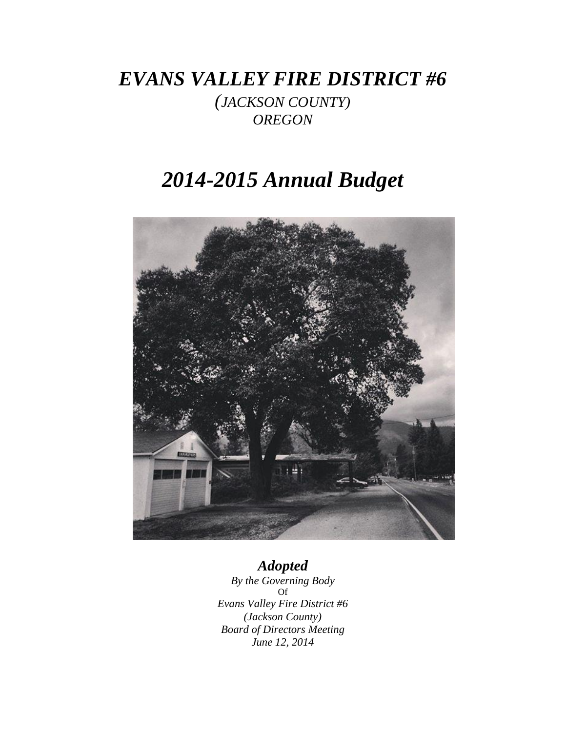# *EVANS VALLEY FIRE DISTRICT #6*

*(JACKSON COUNTY) OREGON*

# *2014-2015 Annual Budget*



# *Adopted*

*By the Governing Body* Of *Evans Valley Fire District #6 (Jackson County) Board of Directors Meeting June 12, 2014*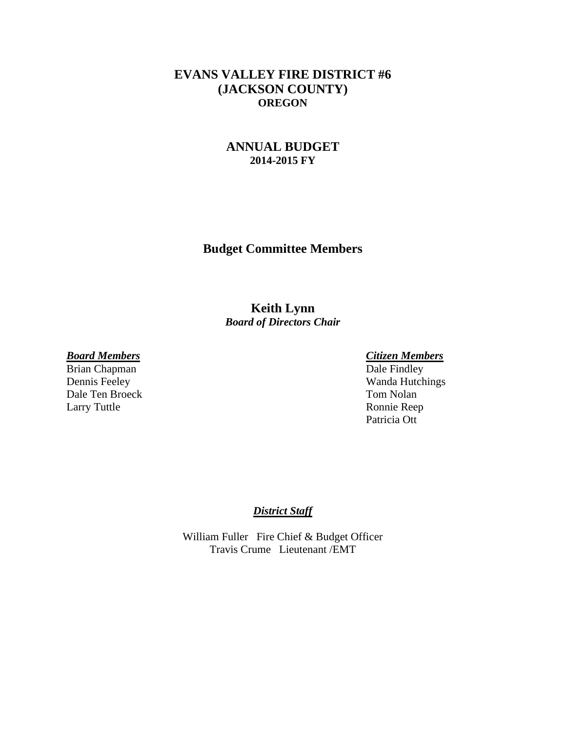## **EVANS VALLEY FIRE DISTRICT #6 (JACKSON COUNTY) OREGON**

## **ANNUAL BUDGET 2014-2015 FY**

**Budget Committee Members**

**Keith Lynn** *Board of Directors Chair*

Brian Chapman Dale Ten Broeck Tom Nolan<br>Larry Tuttle Ronnie Ree

*Board Members Citizen Members* Dennis Feeley Wanda Hutchings Ronnie Reep Patricia Ott

### *District Staff*

William Fuller Fire Chief & Budget Officer Travis Crume Lieutenant /EMT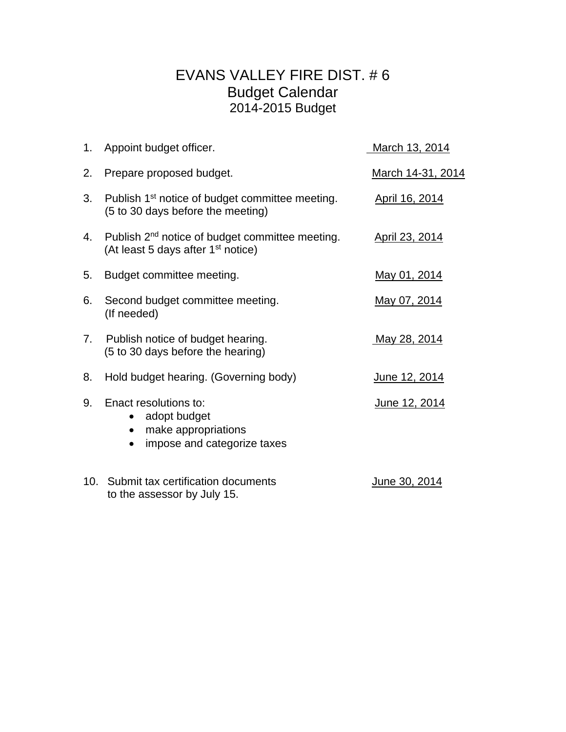# EVANS VALLEY FIRE DIST. # 6 Budget Calendar 2014-2015 Budget

| 1.  | Appoint budget officer.                                                                                       | March 13, 2014      |
|-----|---------------------------------------------------------------------------------------------------------------|---------------------|
| 2.  | Prepare proposed budget.                                                                                      | March 14-31, 2014   |
| 3.  | Publish 1 <sup>st</sup> notice of budget committee meeting.<br>(5 to 30 days before the meeting)              | April 16, 2014      |
| 4.  | Publish 2 <sup>nd</sup> notice of budget committee meeting.<br>(At least 5 days after 1 <sup>st</sup> notice) | April 23, 2014      |
| 5.  | Budget committee meeting.                                                                                     | May 01, 2014        |
| 6.  | Second budget committee meeting.<br>(If needed)                                                               | May 07, 2014        |
| 7.  | Publish notice of budget hearing.<br>(5 to 30 days before the hearing)                                        | <u>May 28, 2014</u> |
| 8.  | Hold budget hearing. (Governing body)                                                                         | June 12, 2014       |
| 9.  | Enact resolutions to:<br>adopt budget<br>$\bullet$<br>make appropriations<br>impose and categorize taxes      | June 12, 2014       |
| 10. | Submit tax certification documents<br>to the assessor by July 15.                                             | June 30, 2014       |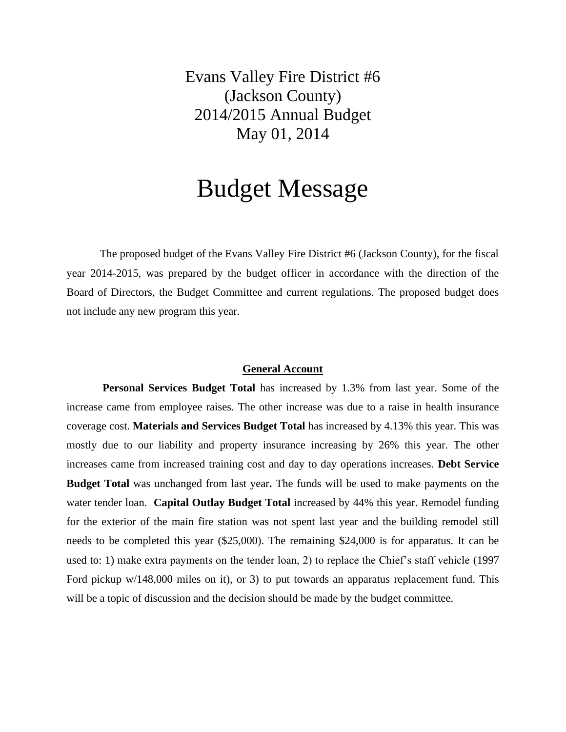Evans Valley Fire District #6 (Jackson County) 2014/2015 Annual Budget May 01, 2014

# Budget Message

The proposed budget of the Evans Valley Fire District #6 (Jackson County), for the fiscal year 2014-2015, was prepared by the budget officer in accordance with the direction of the Board of Directors, the Budget Committee and current regulations. The proposed budget does not include any new program this year.

#### **General Account**

**Personal Services Budget Total** has increased by 1.3% from last year. Some of the increase came from employee raises. The other increase was due to a raise in health insurance coverage cost. **Materials and Services Budget Total** has increased by 4.13% this year. This was mostly due to our liability and property insurance increasing by 26% this year. The other increases came from increased training cost and day to day operations increases. **Debt Service Budget Total** was unchanged from last year**.** The funds will be used to make payments on the water tender loan. **Capital Outlay Budget Total** increased by 44% this year. Remodel funding for the exterior of the main fire station was not spent last year and the building remodel still needs to be completed this year (\$25,000). The remaining \$24,000 is for apparatus. It can be used to: 1) make extra payments on the tender loan, 2) to replace the Chief's staff vehicle (1997 Ford pickup w/148,000 miles on it), or 3) to put towards an apparatus replacement fund. This will be a topic of discussion and the decision should be made by the budget committee.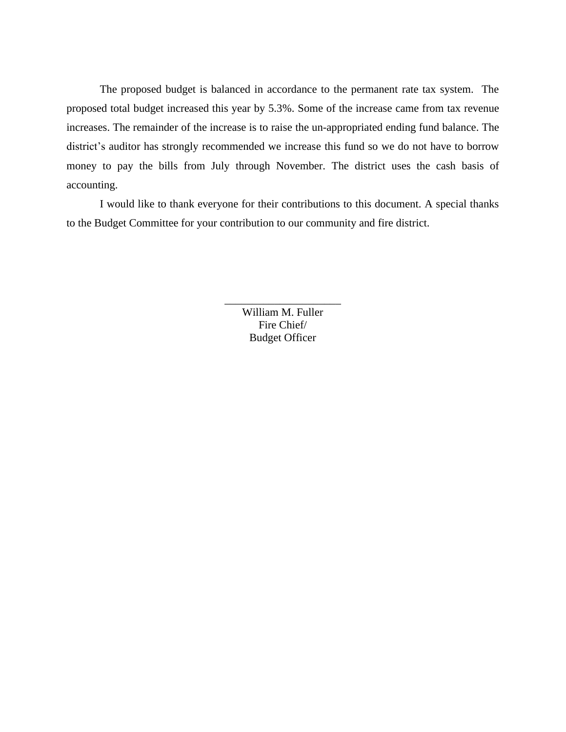The proposed budget is balanced in accordance to the permanent rate tax system. The proposed total budget increased this year by 5.3%. Some of the increase came from tax revenue increases. The remainder of the increase is to raise the un-appropriated ending fund balance. The district's auditor has strongly recommended we increase this fund so we do not have to borrow money to pay the bills from July through November. The district uses the cash basis of accounting.

I would like to thank everyone for their contributions to this document. A special thanks to the Budget Committee for your contribution to our community and fire district.

> William M. Fuller Fire Chief/ Budget Officer

\_\_\_\_\_\_\_\_\_\_\_\_\_\_\_\_\_\_\_\_\_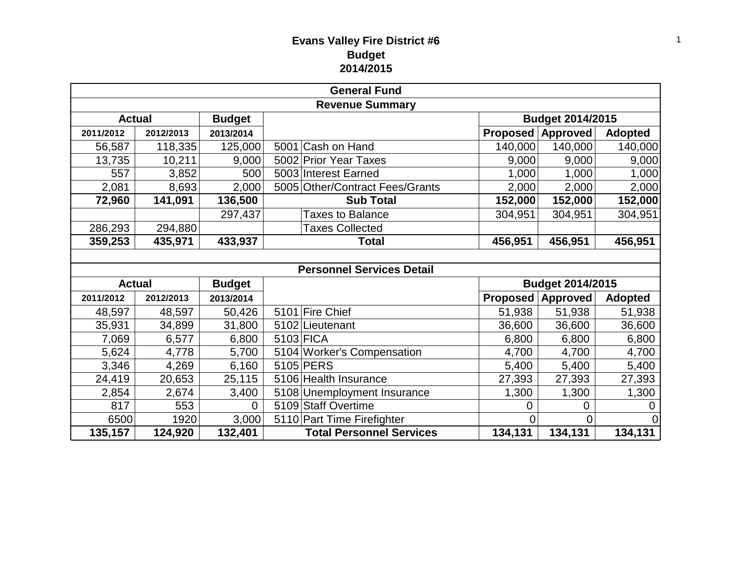# **Evans Valley Fire District #6 Budget 2014/2015**

| <b>General Fund</b>    |               |               |  |                                  |                 |                  |                |
|------------------------|---------------|---------------|--|----------------------------------|-----------------|------------------|----------------|
| <b>Revenue Summary</b> |               |               |  |                                  |                 |                  |                |
| <b>Actual</b>          | <b>Budget</b> |               |  | Budget 2014/2015                 |                 |                  |                |
| 2011/2012              | 2012/2013     | 2013/2014     |  |                                  | <b>Proposed</b> | <b>Approved</b>  | <b>Adopted</b> |
| 56,587                 | 118,335       | 125,000       |  | 5001 Cash on Hand                | 140,000         | 140,000          | 140,000        |
| 13,735                 | 10,211        | 9,000         |  | 5002 Prior Year Taxes            | 9,000           | 9,000            | 9,000          |
| 557                    | 3,852         | 500           |  | 5003 Interest Earned             | 1,000           | 1,000            | 1,000          |
| 2,081                  | 8,693         | 2,000         |  | 5005 Other/Contract Fees/Grants  | 2,000           | 2,000            | 2,000          |
| 72,960                 | 141,091       | 136,500       |  | <b>Sub Total</b>                 | 152,000         | 152,000          | 152,000        |
|                        |               | 297,437       |  | <b>Taxes to Balance</b>          | 304,951         | 304,951          | 304,951        |
| 286,293                | 294,880       |               |  | <b>Taxes Collected</b>           |                 |                  |                |
| 359,253                | 435,971       | 433,937       |  | <b>Total</b>                     | 456,951         | 456,951          | 456,951        |
|                        |               |               |  |                                  |                 |                  |                |
|                        |               |               |  | <b>Personnel Services Detail</b> |                 |                  |                |
| <b>Actual</b>          |               | <b>Budget</b> |  |                                  |                 | Budget 2014/2015 |                |
| 2011/2012              | 2012/2013     | 2013/2014     |  |                                  | Proposed        | Approved         | <b>Adopted</b> |
| 48,597                 | 48,597        | 50,426        |  | 5101 Fire Chief                  | 51,938          | 51,938           | 51,938         |
| 35,931                 | 34,899        | 31,800        |  | 5102 Lieutenant                  | 36,600          | 36,600           | 36,600         |
| 7,069                  | 6,577         | 6,800         |  | 5103 FICA                        | 6,800           | 6,800            | 6,800          |
| 5,624                  | 4,778         | 5,700         |  | 5104 Worker's Compensation       | 4,700           | 4,700            | 4,700          |
| 3,346                  | 4,269         | 6,160         |  | 5105 PERS                        | 5,400           | 5,400            | 5,400          |
| 24,419                 | 20,653        | 25,115        |  | 5106 Health Insurance            | 27,393          | 27,393           | 27,393         |
| 2,854                  | 2,674         | 3,400         |  | 5108 Unemployment Insurance      | 1,300           | 1,300            | 1,300          |
| 817                    | 553           | 0             |  | 5109 Staff Overtime              | 0               | 0                | 0              |
| 6500                   | 1920          | 3,000         |  | 5110 Part Time Firefighter       | 0               | 0                | $\Omega$       |
| 135,157                | 124,920       | 132,401       |  | <b>Total Personnel Services</b>  | 134,131         | 134,131          | 134,131        |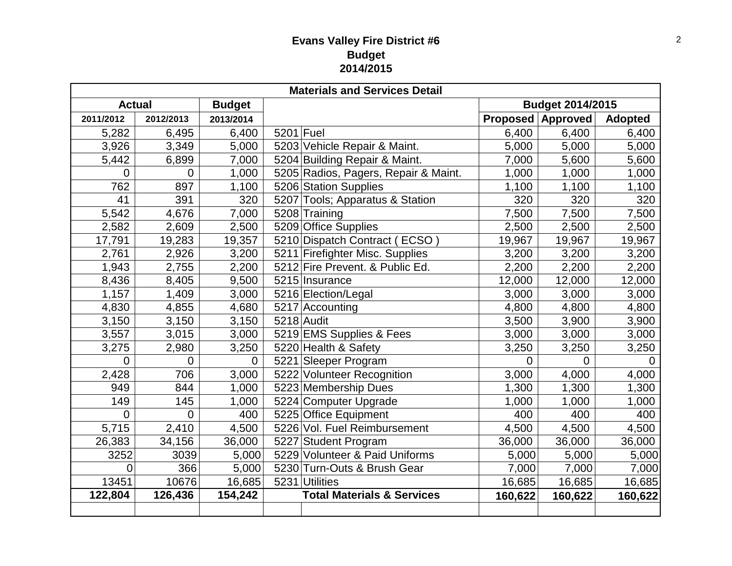# **Evans Valley Fire District #6 Budget 2014/2015**

| <b>Materials and Services Detail</b> |                |                |           |                                       |                         |                          |                |  |
|--------------------------------------|----------------|----------------|-----------|---------------------------------------|-------------------------|--------------------------|----------------|--|
| <b>Actual</b><br><b>Budget</b>       |                |                |           |                                       | <b>Budget 2014/2015</b> |                          |                |  |
| 2011/2012                            | 2012/2013      | 2013/2014      |           |                                       |                         | <b>Proposed Approved</b> | <b>Adopted</b> |  |
| 5,282                                | 6,495          | 6,400          | 5201 Fuel |                                       | 6,400                   | 6,400                    | 6,400          |  |
| 3,926                                | 3,349          | 5,000          |           | 5203 Vehicle Repair & Maint.          | 5,000                   | 5,000                    | 5,000          |  |
| 5,442                                | 6,899          | 7,000          |           | 5204 Building Repair & Maint.         | 7,000                   | 5,600                    | 5,600          |  |
| 0                                    | $\Omega$       | 1,000          |           | 5205 Radios, Pagers, Repair & Maint.  | 1,000                   | 1,000                    | 1,000          |  |
| 762                                  | 897            | 1,100          |           | 5206 Station Supplies                 | 1,100                   | 1,100                    | 1,100          |  |
| 41                                   | 391            | 320            |           | 5207 Tools; Apparatus & Station       | 320                     | 320                      | 320            |  |
| 5,542                                | 4,676          | 7,000          |           | 5208 Training                         | 7,500                   | 7,500                    | 7,500          |  |
| 2,582                                | 2,609          | 2,500          |           | 5209 Office Supplies                  | 2,500                   | 2,500                    | 2,500          |  |
| 17,791                               | 19,283         | 19,357         |           | 5210 Dispatch Contract (ECSO)         | 19,967                  | 19,967                   | 19,967         |  |
| 2,761                                | 2,926          | 3,200          |           | 5211 Firefighter Misc. Supplies       | 3,200                   | 3,200                    | 3,200          |  |
| 1,943                                | 2,755          | 2,200          |           | 5212 Fire Prevent. & Public Ed.       | 2,200                   | 2,200                    | 2,200          |  |
| 8,436                                | 8,405          | 9,500          |           | 5215 Insurance                        | 12,000                  | 12,000                   | 12,000         |  |
| 1,157                                | 1,409          | 3,000          |           | 5216 Election/Legal                   | 3,000                   | 3,000                    | 3,000          |  |
| 4,830                                | 4,855          | 4,680          |           | 5217 Accounting                       | 4,800                   | 4,800                    | 4,800          |  |
| 3,150                                | 3,150          | 3,150          |           | $5218$ Audit                          | 3,500                   | 3,900                    | 3,900          |  |
| 3,557                                | 3,015          | 3,000          |           | 5219 EMS Supplies & Fees              | 3,000                   | 3,000                    | 3,000          |  |
| 3,275                                | 2,980          | 3,250          |           | 5220 Health & Safety                  | 3,250                   | 3,250                    | 3,250          |  |
| 0                                    | $\mathbf 0$    | $\overline{0}$ |           | 5221 Sleeper Program                  | 0                       | $\overline{0}$           | $\overline{0}$ |  |
| 2,428                                | 706            | 3,000          |           | 5222 Volunteer Recognition            | 3,000                   | 4,000                    | 4,000          |  |
| 949                                  | 844            | 1,000          |           | 5223 Membership Dues                  | 1,300                   | 1,300                    | 1,300          |  |
| 149                                  | 145            | 1,000          |           | 5224 Computer Upgrade                 | 1,000                   | 1,000                    | 1,000          |  |
| 0                                    | $\overline{0}$ | 400            |           | 5225 Office Equipment                 | 400                     | 400                      | 400            |  |
| 5,715                                | 2,410          | 4,500          |           | 5226 Vol. Fuel Reimbursement          | 4,500                   | 4,500                    | 4,500          |  |
| 26,383                               | 34,156         | 36,000         |           | 5227 Student Program                  | 36,000                  | 36,000                   | 36,000         |  |
| 3252                                 | 3039           | 5,000          |           | 5229 Volunteer & Paid Uniforms        | 5,000                   | 5,000                    | 5,000          |  |
| 0                                    | 366            | 5,000          |           | 5230 Turn-Outs & Brush Gear           | 7,000                   | 7,000                    | 7,000          |  |
| 13451                                | 10676          | 16,685         |           | 5231 Utilities                        | 16,685                  | 16,685                   | 16,685         |  |
| 122,804                              | 126,436        | 154,242        |           | <b>Total Materials &amp; Services</b> | 160,622                 | 160,622                  | 160,622        |  |
|                                      |                |                |           |                                       |                         |                          |                |  |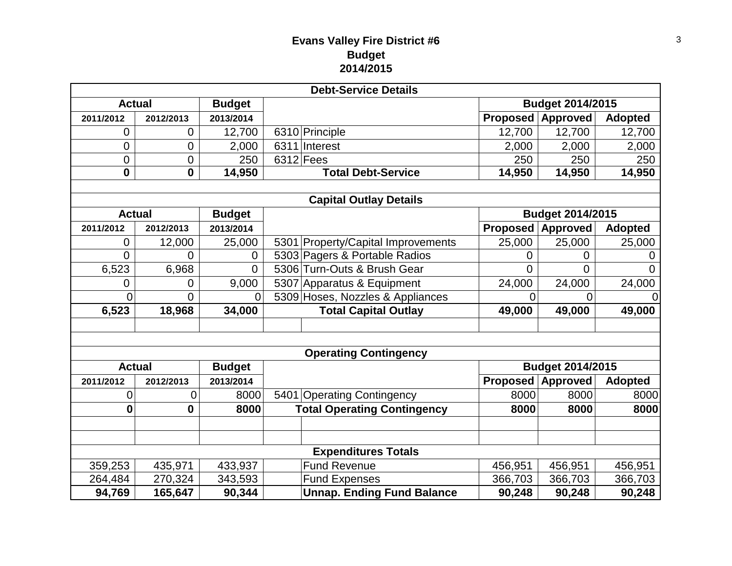# **Evans Valley Fire District #6 Budget 2014/2015**

|                                |                            |                | <b>Debt-Service Details</b>        |                         |                         |                |  |  |  |
|--------------------------------|----------------------------|----------------|------------------------------------|-------------------------|-------------------------|----------------|--|--|--|
| <b>Actual</b><br><b>Budget</b> |                            |                |                                    | <b>Budget 2014/2015</b> |                         |                |  |  |  |
| 2011/2012                      | 2012/2013                  | 2013/2014      |                                    | <b>Proposed</b>         | <b>Approved</b>         | <b>Adopted</b> |  |  |  |
| 0                              | 0                          | 12,700         | 6310 Principle                     | 12,700                  | 12,700                  | 12,700         |  |  |  |
| 0                              | $\mathbf 0$                | 2,000          | 6311 Interest                      | 2,000                   | 2,000                   | 2,000          |  |  |  |
| 0                              | $\overline{0}$             | 250            | $6312$ Fees                        | 250                     | 250                     | 250            |  |  |  |
| $\mathbf{0}$                   | $\mathbf 0$                | 14,950         | <b>Total Debt-Service</b>          | 14,950                  | 14,950                  | 14,950         |  |  |  |
|                                |                            |                |                                    |                         |                         |                |  |  |  |
|                                |                            |                | <b>Capital Outlay Details</b>      |                         |                         |                |  |  |  |
| <b>Actual</b>                  |                            | <b>Budget</b>  |                                    |                         | <b>Budget 2014/2015</b> |                |  |  |  |
| 2011/2012                      | 2012/2013                  | 2013/2014      |                                    | <b>Proposed</b>         | <b>Approved</b>         | <b>Adopted</b> |  |  |  |
| 0                              | 12,000                     | 25,000         | 5301 Property/Capital Improvements | 25,000                  | 25,000                  | 25,000         |  |  |  |
| 0                              | $\overline{0}$             | 0              | 5303 Pagers & Portable Radios      | 0                       | $\overline{0}$          | 0              |  |  |  |
| 6,523                          | 6,968                      | $\Omega$       | 5306 Turn-Outs & Brush Gear        | 0                       | $\overline{0}$          | 0              |  |  |  |
| 0                              | 0                          | 9,000          | 5307 Apparatus & Equipment         | 24,000                  | 24,000                  | 24,000         |  |  |  |
| $\overline{0}$                 | $\overline{0}$             | $\overline{0}$ | 5309 Hoses, Nozzles & Appliances   | 0                       | 0                       | $\overline{0}$ |  |  |  |
| 6,523                          | 18,968                     | 34,000         | <b>Total Capital Outlay</b>        | 49,000                  | 49,000                  | 49,000         |  |  |  |
|                                |                            |                |                                    |                         |                         |                |  |  |  |
|                                |                            |                |                                    |                         |                         |                |  |  |  |
|                                |                            |                | <b>Operating Contingency</b>       |                         |                         |                |  |  |  |
| <b>Actual</b>                  |                            | <b>Budget</b>  |                                    |                         | Budget 2014/2015        |                |  |  |  |
| 2011/2012                      | 2012/2013                  | 2013/2014      |                                    | <b>Proposed</b>         | <b>Approved</b>         | <b>Adopted</b> |  |  |  |
| 0                              | 0                          | 8000           | 5401 Operating Contingency         | 8000                    | 8000                    | 8000           |  |  |  |
| $\bf{0}$                       | 0                          | 8000           | <b>Total Operating Contingency</b> | 8000                    | 8000                    | 8000           |  |  |  |
|                                |                            |                |                                    |                         |                         |                |  |  |  |
|                                |                            |                |                                    |                         |                         |                |  |  |  |
|                                | <b>Expenditures Totals</b> |                |                                    |                         |                         |                |  |  |  |
| 359,253                        | 435,971                    | 433,937        | <b>Fund Revenue</b>                | 456,951                 | 456,951                 | 456,951        |  |  |  |
| 264,484                        | 270,324                    | 343,593        | <b>Fund Expenses</b>               | 366,703                 | 366,703                 | 366,703        |  |  |  |
| 94,769                         | 165,647                    | 90,344         | <b>Unnap. Ending Fund Balance</b>  | 90,248                  | 90,248                  | 90,248         |  |  |  |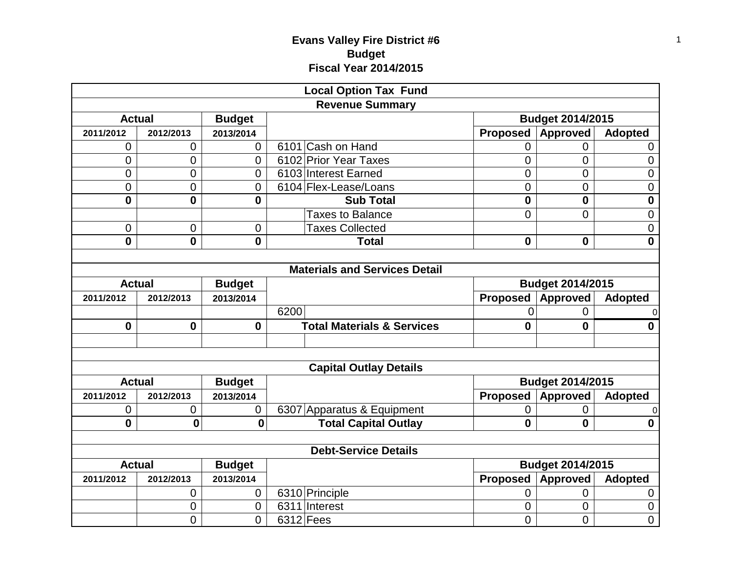# **Evans Valley Fire District #6 Budget Fiscal Year 2014/2015**

| <b>Local Option Tax Fund</b>   |              |                |                                       |                |                         |                |  |  |  |  |
|--------------------------------|--------------|----------------|---------------------------------------|----------------|-------------------------|----------------|--|--|--|--|
|                                |              |                | <b>Revenue Summary</b>                |                |                         |                |  |  |  |  |
| <b>Actual</b>                  |              | <b>Budget</b>  |                                       |                | <b>Budget 2014/2015</b> |                |  |  |  |  |
| 2011/2012                      | 2012/2013    | 2013/2014      |                                       | Proposed       | <b>Approved</b>         | <b>Adopted</b> |  |  |  |  |
| 0                              | 0            | $\overline{0}$ | 6101 Cash on Hand                     | $\overline{0}$ | $\overline{0}$          | 0              |  |  |  |  |
| 0                              | 0            | 0              | 6102 Prior Year Taxes                 | 0              | 0                       | $\mathbf 0$    |  |  |  |  |
| 0                              | 0            | 0              | 6103 Interest Earned                  | 0              | 0                       | $\mathbf 0$    |  |  |  |  |
| 0                              | 0            | 0              | 6104 Flex-Lease/Loans                 | 0              | 0                       | $\mathbf 0$    |  |  |  |  |
| $\mathbf{0}$                   | $\mathbf{0}$ | 0              | <b>Sub Total</b>                      | $\mathbf 0$    | $\mathbf 0$             | $\bf{0}$       |  |  |  |  |
|                                |              |                | <b>Taxes to Balance</b>               | $\mathbf 0$    | $\overline{0}$          | $\mathbf 0$    |  |  |  |  |
| 0                              | 0            | 0              | <b>Taxes Collected</b>                |                |                         | $\mathbf 0$    |  |  |  |  |
| 0                              | $\mathbf{0}$ | 0              | <b>Total</b>                          | $\mathbf 0$    | $\mathbf 0$             | $\bf{0}$       |  |  |  |  |
|                                |              |                |                                       |                |                         |                |  |  |  |  |
|                                |              |                | <b>Materials and Services Detail</b>  |                |                         |                |  |  |  |  |
| <b>Actual</b>                  |              | <b>Budget</b>  |                                       |                | <b>Budget 2014/2015</b> |                |  |  |  |  |
| 2011/2012                      | 2012/2013    | 2013/2014      |                                       | Proposed       | <b>Approved</b>         | <b>Adopted</b> |  |  |  |  |
|                                |              |                | 6200                                  | 0              | $\overline{0}$          | $\Omega$       |  |  |  |  |
| $\mathbf 0$                    | $\mathbf 0$  | $\mathbf{0}$   | <b>Total Materials &amp; Services</b> | $\mathbf 0$    | $\bf{0}$                | $\mathbf 0$    |  |  |  |  |
|                                |              |                |                                       |                |                         |                |  |  |  |  |
|                                |              |                |                                       |                |                         |                |  |  |  |  |
|                                |              |                | <b>Capital Outlay Details</b>         |                |                         |                |  |  |  |  |
| <b>Actual</b>                  |              | <b>Budget</b>  |                                       |                | <b>Budget 2014/2015</b> |                |  |  |  |  |
| 2011/2012                      | 2012/2013    | 2013/2014      |                                       | Proposed       | <b>Approved</b>         | <b>Adopted</b> |  |  |  |  |
| 0                              | 0            | 0              | 6307 Apparatus & Equipment            | 0              | 0                       | 0              |  |  |  |  |
| $\mathbf{0}$                   | $\mathbf 0$  | $\mathbf 0$    | <b>Total Capital Outlay</b>           | 0              | $\mathbf{0}$            | $\mathbf 0$    |  |  |  |  |
|                                |              |                |                                       |                |                         |                |  |  |  |  |
|                                |              |                | <b>Debt-Service Details</b>           |                |                         |                |  |  |  |  |
| <b>Actual</b><br><b>Budget</b> |              |                |                                       |                | <b>Budget 2014/2015</b> |                |  |  |  |  |
| 2011/2012                      | 2012/2013    | 2013/2014      |                                       | Proposed       | <b>Approved</b>         | <b>Adopted</b> |  |  |  |  |
|                                | 0            | $\overline{0}$ | 6310 Principle                        | 0              | $\mathbf 0$             | 0              |  |  |  |  |
|                                | 0            | 0              | 6311 Interest                         | 0              | 0                       | $\mathbf 0$    |  |  |  |  |
|                                | 0            | 0              | $6312$ Fees                           | 0              | 0                       | $\mathbf 0$    |  |  |  |  |